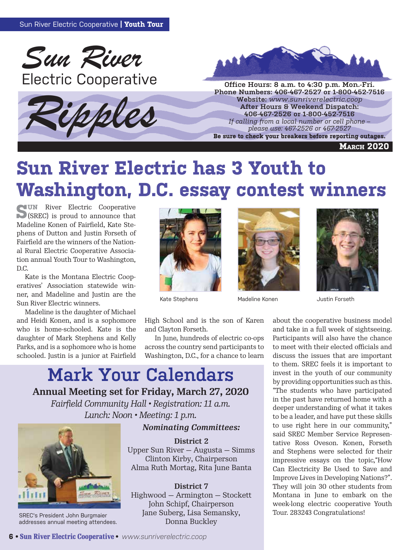





**Phone Numbers: 406-467-2527 or 1-800-452-7516 Website:** *www.sunriverelectric.coop* **After Hours & Weekend Dispatch: 406-467-2526 or 1-800-452-7516** *If calling from a local number or cell phone –*  **provided**<br> **please use: 406-467-2526 or 1-800-452-7516**<br> *Re sure to check your breakers before reporting outages.*<br> *Re sure to check your breakers before reporting outages.* 

**March 2020**

# **Sun River Electric has 3 Youth to Washington, D.C. essay contest winners**

**SUN** River Electric Cooperative (SREC) is proud to announce that Madeline Konen of Fairfield, Kate Stephens of Dutton and Justin Forseth of Fairfield are the winners of the National Rural Electric Cooperative Association annual Youth Tour to Washington, D.C.

Kate is the Montana Electric Cooperatives' Association statewide winner, and Madeline and Justin are the Sun River Electric winners.

Madeline is the daughter of Michael and Heidi Konen, and is a sophomore who is home-schooled. Kate is the daughter of Mark Stephens and Kelly Parks, and is a sophomore who is home schooled. Justin is a junior at Fairfield



Kate Stephens





Madeline Konen **Justin Forseth** 

High School and is the son of Karen and Clayton Forseth.

 In June, hundreds of electric co-ops across the country send participants to Washington, D.C., for a chance to learn

### **Mark Your Calendars**

**Annual Meeting set for Friday, March 27, 2020**

*Fairfield Community Hall • Registration: 11 a.m. Lunch: Noon • Meeting: 1 p.m.*

#### *Nominating Committees:*



SREC's President John Burgmaier addresses annual meeting attendees.

**District 2** Upper Sun River — Augusta — Simms Clinton Kirby, Chairperson Alma Ruth Mortag, Rita June Banta

**District 7** Highwood — Armington — Stockett John Schipf, Chairperson Jane Suberg, Lisa Semansky, Donna Buckley

about the cooperative business model and take in a full week of sightseeing. Participants will also have the chance to meet with their elected officials and discuss the issues that are important to them. SREC feels it is important to invest in the youth of our community by providing opportunities such as this. "The students who have participated in the past have returned home with a deeper understanding of what it takes to be a leader, and have put these skills to use right here in our community," said SREC Member Service Representative Ross Oveson. Konen, Forseth and Stephens were selected for their impressive essays on the topic,"How Can Electricity Be Used to Save and Improve Lives in Developing Nations?". They will join 30 other students from Montana in June to embark on the week-long electric cooperative Youth Tour. 283243 Congratulations!